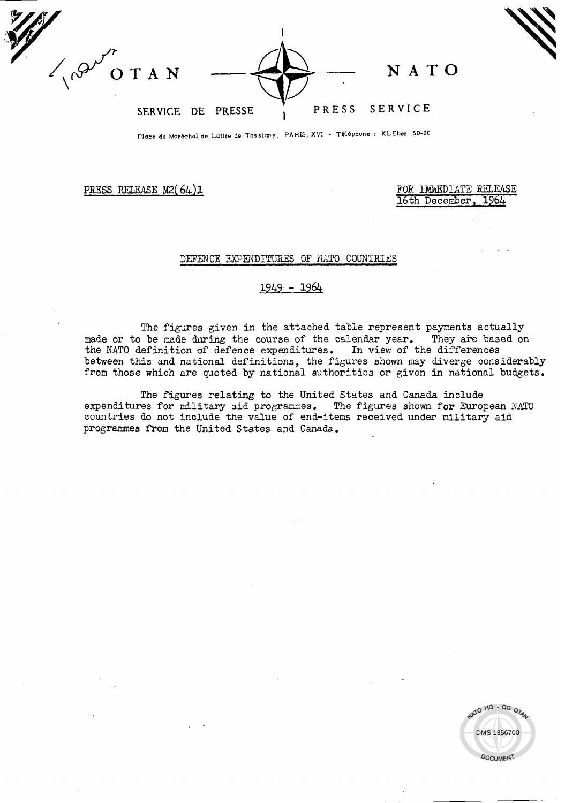$\mathbf{I}$  $e^{Q'}$  or a N  $\longrightarrow$   $\longrightarrow$  N AT SERVICE DE PRESSE ; PRESS SERVICE

Place du Maréchal de Lattre de Tassigny, PARIS, XVI - Téléphone : KLEber 50-20

PRESS RELEASE M2(64)1 FOR IMMEDIATE RELEASE PRESS RELEASE M2(64)1 16th December,

## DEFENCE EXPENDITURES OF NATO COUNTRIES

## $1949 - 1964$

The figures given in the attached table represent payments actually made or to be nade during the course of the calendar year. They are based on the NATO definition of defence expenditures. In view of the differences between this and national definitions, the figures shown may diverge considerabl from those which are quoted by national authorities or given in national budgets.

The figures relating to the United States and Canada include expenditures for military aid programmes. The figures shown for European NATO countries do not include the value of end-items received under nilitary aid programmes froa the United States and Canada.

ATO HQ - QG OTA DMS 1356700**DOCUMENT**